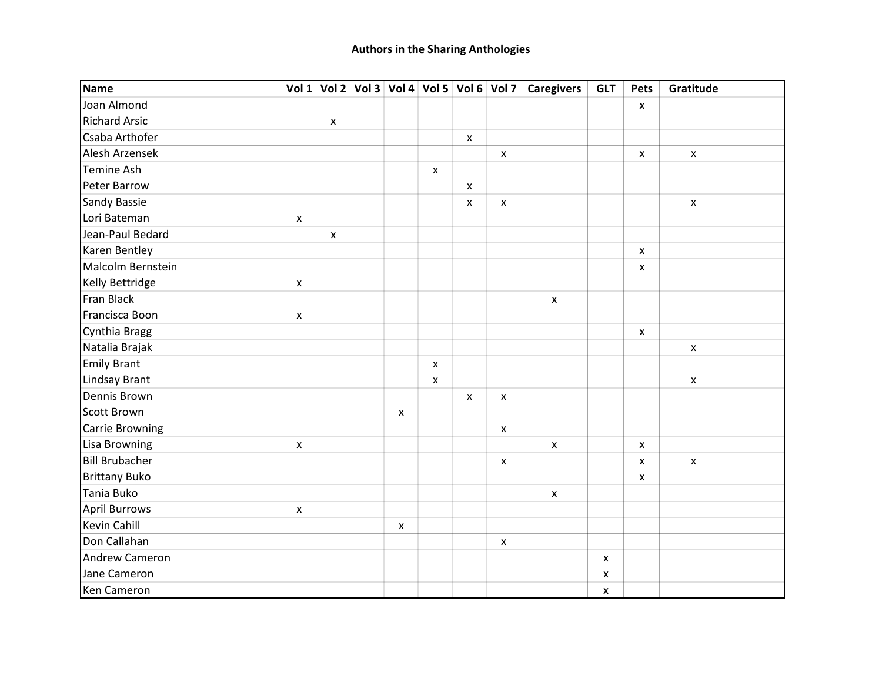| Name                  |              |                    |                    |                           |                    |                    | Vol 1 Vol 2 Vol 3 Vol 4 Vol 5 Vol 6 Vol 7 Caregivers | <b>GLT</b>         | Pets               | Gratitude          |  |
|-----------------------|--------------|--------------------|--------------------|---------------------------|--------------------|--------------------|------------------------------------------------------|--------------------|--------------------|--------------------|--|
| Joan Almond           |              |                    |                    |                           |                    |                    |                                                      |                    | $\pmb{\chi}$       |                    |  |
| <b>Richard Arsic</b>  |              | $\pmb{\mathsf{X}}$ |                    |                           |                    |                    |                                                      |                    |                    |                    |  |
| Csaba Arthofer        |              |                    |                    |                           | $\pmb{\mathsf{x}}$ |                    |                                                      |                    |                    |                    |  |
| Alesh Arzensek        |              |                    |                    |                           |                    | $\pmb{\chi}$       |                                                      |                    | $\pmb{\chi}$       | $\pmb{\mathsf{X}}$ |  |
| <b>Temine Ash</b>     |              |                    |                    | $\boldsymbol{\mathsf{X}}$ |                    |                    |                                                      |                    |                    |                    |  |
| <b>Peter Barrow</b>   |              |                    |                    |                           | $\mathsf{x}$       |                    |                                                      |                    |                    |                    |  |
| <b>Sandy Bassie</b>   |              |                    |                    |                           | X                  | $\pmb{\mathsf{x}}$ |                                                      |                    |                    | $\pmb{\mathsf{x}}$ |  |
| Lori Bateman          | $\mathsf{x}$ |                    |                    |                           |                    |                    |                                                      |                    |                    |                    |  |
| Jean-Paul Bedard      |              | $\pmb{\mathsf{x}}$ |                    |                           |                    |                    |                                                      |                    |                    |                    |  |
| Karen Bentley         |              |                    |                    |                           |                    |                    |                                                      |                    | $\pmb{\mathsf{x}}$ |                    |  |
| Malcolm Bernstein     |              |                    |                    |                           |                    |                    |                                                      |                    | $\pmb{\times}$     |                    |  |
| Kelly Bettridge       | X            |                    |                    |                           |                    |                    |                                                      |                    |                    |                    |  |
| <b>Fran Black</b>     |              |                    |                    |                           |                    |                    | $\pmb{\mathsf{x}}$                                   |                    |                    |                    |  |
| Francisca Boon        | X            |                    |                    |                           |                    |                    |                                                      |                    |                    |                    |  |
| Cynthia Bragg         |              |                    |                    |                           |                    |                    |                                                      |                    | $\pmb{\mathsf{X}}$ |                    |  |
| Natalia Brajak        |              |                    |                    |                           |                    |                    |                                                      |                    |                    | $\pmb{\mathsf{X}}$ |  |
| <b>Emily Brant</b>    |              |                    |                    | $\pmb{\times}$            |                    |                    |                                                      |                    |                    |                    |  |
| <b>Lindsay Brant</b>  |              |                    |                    | $\pmb{\times}$            |                    |                    |                                                      |                    |                    | $\mathsf{x}$       |  |
| Dennis Brown          |              |                    |                    |                           | $\pmb{\mathsf{x}}$ | $\pmb{\mathsf{x}}$ |                                                      |                    |                    |                    |  |
| <b>Scott Brown</b>    |              |                    | $\pmb{\mathsf{X}}$ |                           |                    |                    |                                                      |                    |                    |                    |  |
| Carrie Browning       |              |                    |                    |                           |                    | $\pmb{\mathsf{X}}$ |                                                      |                    |                    |                    |  |
| <b>Lisa Browning</b>  | X            |                    |                    |                           |                    |                    | $\pmb{\mathsf{x}}$                                   |                    | $\pmb{\mathsf{X}}$ |                    |  |
| <b>Bill Brubacher</b> |              |                    |                    |                           |                    | $\pmb{\mathsf{x}}$ |                                                      |                    | $\pmb{\mathsf{x}}$ | $\pmb{\mathsf{x}}$ |  |
| <b>Brittany Buko</b>  |              |                    |                    |                           |                    |                    |                                                      |                    | $\mathsf{x}$       |                    |  |
| Tania Buko            |              |                    |                    |                           |                    |                    | $\pmb{\mathsf{x}}$                                   |                    |                    |                    |  |
| <b>April Burrows</b>  | X            |                    |                    |                           |                    |                    |                                                      |                    |                    |                    |  |
| <b>Kevin Cahill</b>   |              |                    | $\pmb{\mathsf{X}}$ |                           |                    |                    |                                                      |                    |                    |                    |  |
| Don Callahan          |              |                    |                    |                           |                    | $\pmb{\mathsf{x}}$ |                                                      |                    |                    |                    |  |
| <b>Andrew Cameron</b> |              |                    |                    |                           |                    |                    |                                                      | $\pmb{\mathsf{x}}$ |                    |                    |  |
| Jane Cameron          |              |                    |                    |                           |                    |                    |                                                      | $\pmb{\mathsf{X}}$ |                    |                    |  |
| Ken Cameron           |              |                    |                    |                           |                    |                    |                                                      | $\mathsf{x}$       |                    |                    |  |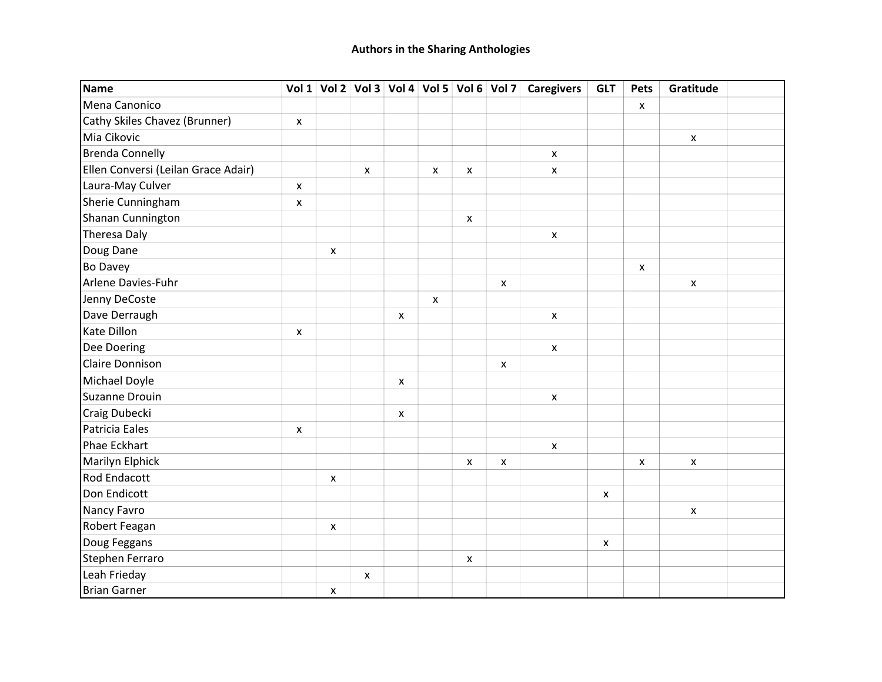| <b>Name</b>                         |                    |                    |                |                           |                | Vol 1 $\overline{\text{Vol 1}}$ Vol 2 $\overline{\text{Vol 3}}$ Vol 4 $\overline{\text{Vol 5}}$ Vol 6 $\overline{\text{Vol 7}}$ |                           | <b>Caregivers</b>  | <b>GLT</b>   | Pets               | Gratitude          |  |
|-------------------------------------|--------------------|--------------------|----------------|---------------------------|----------------|---------------------------------------------------------------------------------------------------------------------------------|---------------------------|--------------------|--------------|--------------------|--------------------|--|
| Mena Canonico                       |                    |                    |                |                           |                |                                                                                                                                 |                           |                    |              | $\pmb{\times}$     |                    |  |
| Cathy Skiles Chavez (Brunner)       | X                  |                    |                |                           |                |                                                                                                                                 |                           |                    |              |                    |                    |  |
| Mia Cikovic                         |                    |                    |                |                           |                |                                                                                                                                 |                           |                    |              |                    | $\pmb{\mathsf{x}}$ |  |
| <b>Brenda Connelly</b>              |                    |                    |                |                           |                |                                                                                                                                 |                           | $\pmb{\mathsf{x}}$ |              |                    |                    |  |
| Ellen Conversi (Leilan Grace Adair) |                    |                    | X              |                           | $\pmb{\times}$ | X                                                                                                                               |                           | $\pmb{\mathsf{x}}$ |              |                    |                    |  |
| Laura-May Culver                    | $\pmb{\mathsf{X}}$ |                    |                |                           |                |                                                                                                                                 |                           |                    |              |                    |                    |  |
| Sherie Cunningham                   | X                  |                    |                |                           |                |                                                                                                                                 |                           |                    |              |                    |                    |  |
| Shanan Cunnington                   |                    |                    |                |                           |                | $\pmb{\times}$                                                                                                                  |                           |                    |              |                    |                    |  |
| <b>Theresa Daly</b>                 |                    |                    |                |                           |                |                                                                                                                                 |                           | $\pmb{\mathsf{x}}$ |              |                    |                    |  |
| Doug Dane                           |                    | $\pmb{\times}$     |                |                           |                |                                                                                                                                 |                           |                    |              |                    |                    |  |
| <b>Bo Davey</b>                     |                    |                    |                |                           |                |                                                                                                                                 |                           |                    |              | $\pmb{\mathsf{x}}$ |                    |  |
| Arlene Davies-Fuhr                  |                    |                    |                |                           |                |                                                                                                                                 | $\pmb{\chi}$              |                    |              |                    | $\pmb{\mathsf{x}}$ |  |
| Jenny DeCoste                       |                    |                    |                |                           | $\mathsf{x}$   |                                                                                                                                 |                           |                    |              |                    |                    |  |
| Dave Derraugh                       |                    |                    |                | X                         |                |                                                                                                                                 |                           | $\pmb{\mathsf{X}}$ |              |                    |                    |  |
| Kate Dillon                         | x                  |                    |                |                           |                |                                                                                                                                 |                           |                    |              |                    |                    |  |
| Dee Doering                         |                    |                    |                |                           |                |                                                                                                                                 |                           | $\pmb{\mathsf{x}}$ |              |                    |                    |  |
| <b>Claire Donnison</b>              |                    |                    |                |                           |                |                                                                                                                                 | $\pmb{\chi}$              |                    |              |                    |                    |  |
| Michael Doyle                       |                    |                    |                | $\boldsymbol{\mathsf{x}}$ |                |                                                                                                                                 |                           |                    |              |                    |                    |  |
| Suzanne Drouin                      |                    |                    |                |                           |                |                                                                                                                                 |                           | $\pmb{\mathsf{x}}$ |              |                    |                    |  |
| Craig Dubecki                       |                    |                    |                | $\pmb{\mathsf{X}}$        |                |                                                                                                                                 |                           |                    |              |                    |                    |  |
| Patricia Eales                      | X                  |                    |                |                           |                |                                                                                                                                 |                           |                    |              |                    |                    |  |
| <b>Phae Eckhart</b>                 |                    |                    |                |                           |                |                                                                                                                                 |                           | $\pmb{\times}$     |              |                    |                    |  |
| Marilyn Elphick                     |                    |                    |                |                           |                | X                                                                                                                               | $\boldsymbol{\mathsf{x}}$ |                    |              | X                  | $\pmb{\times}$     |  |
| <b>Rod Endacott</b>                 |                    | $\pmb{\times}$     |                |                           |                |                                                                                                                                 |                           |                    |              |                    |                    |  |
| Don Endicott                        |                    |                    |                |                           |                |                                                                                                                                 |                           |                    | $\mathsf{x}$ |                    |                    |  |
| Nancy Favro                         |                    |                    |                |                           |                |                                                                                                                                 |                           |                    |              |                    | $\pmb{\times}$     |  |
| Robert Feagan                       |                    | $\pmb{\mathsf{x}}$ |                |                           |                |                                                                                                                                 |                           |                    |              |                    |                    |  |
| Doug Feggans                        |                    |                    |                |                           |                |                                                                                                                                 |                           |                    | X            |                    |                    |  |
| Stephen Ferraro                     |                    |                    |                |                           |                | X                                                                                                                               |                           |                    |              |                    |                    |  |
| Leah Frieday                        |                    |                    | $\pmb{\times}$ |                           |                |                                                                                                                                 |                           |                    |              |                    |                    |  |
| <b>Brian Garner</b>                 |                    | $\pmb{\times}$     |                |                           |                |                                                                                                                                 |                           |                    |              |                    |                    |  |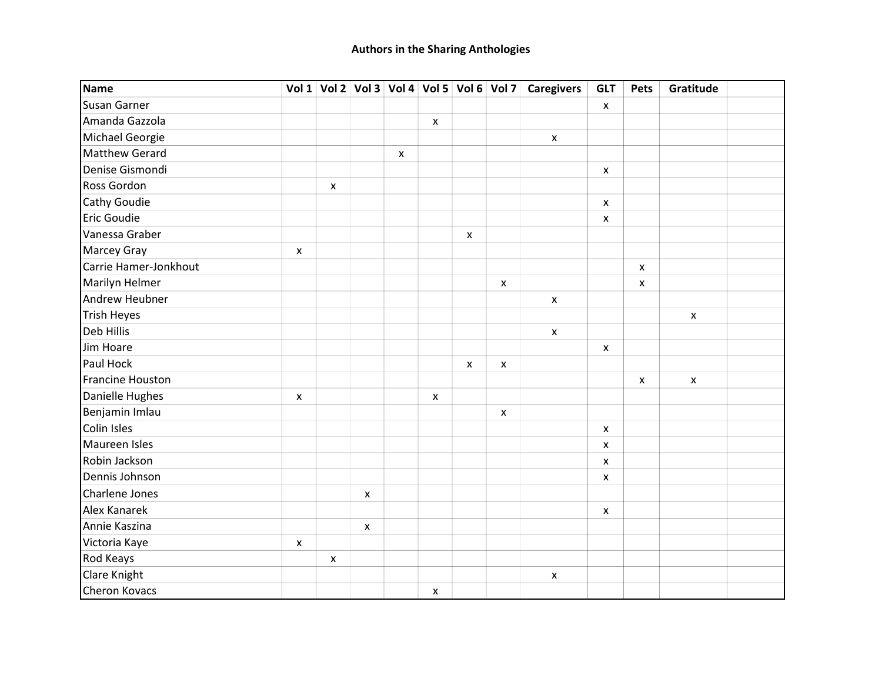| <b>Name</b>             |                    |                  |                    |                    |                           |                    |                    | Vol 1 Vol 2 Vol 3 Vol 4 Vol 5 Vol 6 Vol 7 Caregivers | <b>GLT</b>         | Pets               | Gratitude          |  |
|-------------------------|--------------------|------------------|--------------------|--------------------|---------------------------|--------------------|--------------------|------------------------------------------------------|--------------------|--------------------|--------------------|--|
| <b>Susan Garner</b>     |                    |                  |                    |                    |                           |                    |                    |                                                      | $\mathsf{x}$       |                    |                    |  |
| Amanda Gazzola          |                    |                  |                    |                    | $\boldsymbol{\mathsf{X}}$ |                    |                    |                                                      |                    |                    |                    |  |
| Michael Georgie         |                    |                  |                    |                    |                           |                    |                    | $\pmb{\mathsf{x}}$                                   |                    |                    |                    |  |
| <b>Matthew Gerard</b>   |                    |                  |                    | $\pmb{\mathsf{x}}$ |                           |                    |                    |                                                      |                    |                    |                    |  |
| Denise Gismondi         |                    |                  |                    |                    |                           |                    |                    |                                                      | $\pmb{\mathsf{x}}$ |                    |                    |  |
| Ross Gordon             |                    | $\pmb{\times}$   |                    |                    |                           |                    |                    |                                                      |                    |                    |                    |  |
| <b>Cathy Goudie</b>     |                    |                  |                    |                    |                           |                    |                    |                                                      | $\pmb{\mathsf{x}}$ |                    |                    |  |
| <b>Eric Goudie</b>      |                    |                  |                    |                    |                           |                    |                    |                                                      | $\pmb{\mathsf{x}}$ |                    |                    |  |
| Vanessa Graber          |                    |                  |                    |                    |                           | X                  |                    |                                                      |                    |                    |                    |  |
| <b>Marcey Gray</b>      | X                  |                  |                    |                    |                           |                    |                    |                                                      |                    |                    |                    |  |
| Carrie Hamer-Jonkhout   |                    |                  |                    |                    |                           |                    |                    |                                                      |                    | $\pmb{\times}$     |                    |  |
| Marilyn Helmer          |                    |                  |                    |                    |                           |                    | $\pmb{\mathsf{x}}$ |                                                      |                    | $\pmb{\mathsf{X}}$ |                    |  |
| Andrew Heubner          |                    |                  |                    |                    |                           |                    |                    | $\pmb{\mathsf{x}}$                                   |                    |                    |                    |  |
| <b>Trish Heyes</b>      |                    |                  |                    |                    |                           |                    |                    |                                                      |                    |                    | $\pmb{\times}$     |  |
| Deb Hillis              |                    |                  |                    |                    |                           |                    |                    | $\pmb{\mathsf{x}}$                                   |                    |                    |                    |  |
| Jim Hoare               |                    |                  |                    |                    |                           |                    |                    |                                                      | $\pmb{\mathsf{x}}$ |                    |                    |  |
| Paul Hock               |                    |                  |                    |                    |                           | $\pmb{\mathsf{X}}$ | $\pmb{\mathsf{x}}$ |                                                      |                    |                    |                    |  |
| <b>Francine Houston</b> |                    |                  |                    |                    |                           |                    |                    |                                                      |                    | $\pmb{\mathsf{x}}$ | $\pmb{\mathsf{x}}$ |  |
| Danielle Hughes         | $\pmb{\mathsf{X}}$ |                  |                    |                    | $\boldsymbol{\mathsf{X}}$ |                    |                    |                                                      |                    |                    |                    |  |
| Benjamin Imlau          |                    |                  |                    |                    |                           |                    | $\pmb{\mathsf{x}}$ |                                                      |                    |                    |                    |  |
| Colin Isles             |                    |                  |                    |                    |                           |                    |                    |                                                      | $\pmb{\mathsf{x}}$ |                    |                    |  |
| Maureen Isles           |                    |                  |                    |                    |                           |                    |                    |                                                      | X                  |                    |                    |  |
| Robin Jackson           |                    |                  |                    |                    |                           |                    |                    |                                                      | $\mathsf{x}$       |                    |                    |  |
| Dennis Johnson          |                    |                  |                    |                    |                           |                    |                    |                                                      | $\mathsf{x}$       |                    |                    |  |
| Charlene Jones          |                    |                  | X                  |                    |                           |                    |                    |                                                      |                    |                    |                    |  |
| Alex Kanarek            |                    |                  |                    |                    |                           |                    |                    |                                                      | $\pmb{\mathsf{x}}$ |                    |                    |  |
| Annie Kaszina           |                    |                  | $\pmb{\mathsf{x}}$ |                    |                           |                    |                    |                                                      |                    |                    |                    |  |
| Victoria Kaye           | X                  |                  |                    |                    |                           |                    |                    |                                                      |                    |                    |                    |  |
| Rod Keays               |                    | $\boldsymbol{x}$ |                    |                    |                           |                    |                    |                                                      |                    |                    |                    |  |
| Clare Knight            |                    |                  |                    |                    |                           |                    |                    | $\pmb{\mathsf{x}}$                                   |                    |                    |                    |  |
| Cheron Kovacs           |                    |                  |                    |                    | $\pmb{\times}$            |                    |                    |                                                      |                    |                    |                    |  |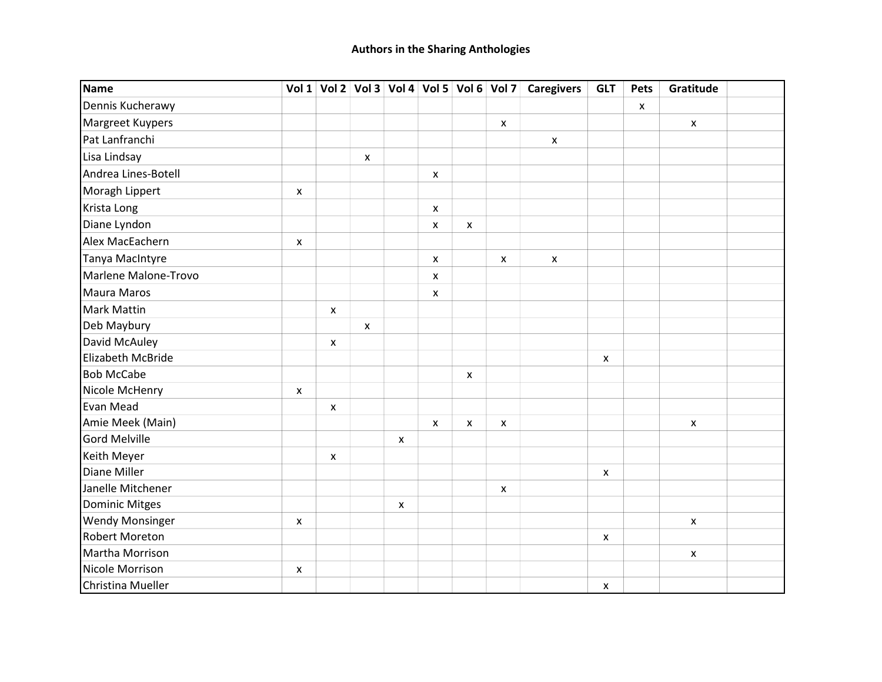| <b>Name</b>            |                    |                           |              |                    |                    |                    |                    | Vol 1 Vol 2 Vol 3 Vol 4 Vol 5 Vol 6 Vol 7 Caregivers | <b>GLT</b> | <b>Pets</b>  | Gratitude          |  |
|------------------------|--------------------|---------------------------|--------------|--------------------|--------------------|--------------------|--------------------|------------------------------------------------------|------------|--------------|--------------------|--|
| Dennis Kucherawy       |                    |                           |              |                    |                    |                    |                    |                                                      |            | $\mathsf{x}$ |                    |  |
| Margreet Kuypers       |                    |                           |              |                    |                    |                    | $\pmb{\mathsf{x}}$ |                                                      |            |              | $\pmb{\mathsf{x}}$ |  |
| Pat Lanfranchi         |                    |                           |              |                    |                    |                    |                    | X                                                    |            |              |                    |  |
| Lisa Lindsay           |                    |                           | X            |                    |                    |                    |                    |                                                      |            |              |                    |  |
| Andrea Lines-Botell    |                    |                           |              |                    | $\pmb{\mathsf{x}}$ |                    |                    |                                                      |            |              |                    |  |
| Moragh Lippert         | X                  |                           |              |                    |                    |                    |                    |                                                      |            |              |                    |  |
| Krista Long            |                    |                           |              |                    | $\pmb{\times}$     |                    |                    |                                                      |            |              |                    |  |
| Diane Lyndon           |                    |                           |              |                    | $\pmb{\times}$     | $\pmb{\mathsf{X}}$ |                    |                                                      |            |              |                    |  |
| Alex MacEachern        | $\pmb{\mathsf{x}}$ |                           |              |                    |                    |                    |                    |                                                      |            |              |                    |  |
| Tanya MacIntyre        |                    |                           |              |                    | $\pmb{\times}$     |                    | $\pmb{\times}$     | $\pmb{\mathsf{x}}$                                   |            |              |                    |  |
| Marlene Malone-Trovo   |                    |                           |              |                    | x                  |                    |                    |                                                      |            |              |                    |  |
| <b>Maura Maros</b>     |                    |                           |              |                    | X                  |                    |                    |                                                      |            |              |                    |  |
| <b>Mark Mattin</b>     |                    | $\boldsymbol{\mathsf{x}}$ |              |                    |                    |                    |                    |                                                      |            |              |                    |  |
| Deb Maybury            |                    |                           | $\mathsf{x}$ |                    |                    |                    |                    |                                                      |            |              |                    |  |
| David McAuley          |                    | $\boldsymbol{\mathsf{x}}$ |              |                    |                    |                    |                    |                                                      |            |              |                    |  |
| Elizabeth McBride      |                    |                           |              |                    |                    |                    |                    |                                                      | X          |              |                    |  |
| <b>Bob McCabe</b>      |                    |                           |              |                    |                    | $\pmb{\mathsf{X}}$ |                    |                                                      |            |              |                    |  |
| Nicole McHenry         | X                  |                           |              |                    |                    |                    |                    |                                                      |            |              |                    |  |
| <b>Evan Mead</b>       |                    | $\pmb{\mathsf{x}}$        |              |                    |                    |                    |                    |                                                      |            |              |                    |  |
| Amie Meek (Main)       |                    |                           |              |                    | $\mathsf{x}$       | X                  | X                  |                                                      |            |              | X                  |  |
| Gord Melville          |                    |                           |              | $\pmb{\mathsf{X}}$ |                    |                    |                    |                                                      |            |              |                    |  |
| <b>Keith Meyer</b>     |                    | X                         |              |                    |                    |                    |                    |                                                      |            |              |                    |  |
| Diane Miller           |                    |                           |              |                    |                    |                    |                    |                                                      | x          |              |                    |  |
| Janelle Mitchener      |                    |                           |              |                    |                    |                    | $\pmb{\mathsf{x}}$ |                                                      |            |              |                    |  |
| Dominic Mitges         |                    |                           |              | $\pmb{\mathsf{x}}$ |                    |                    |                    |                                                      |            |              |                    |  |
| <b>Wendy Monsinger</b> | X                  |                           |              |                    |                    |                    |                    |                                                      |            |              | $\mathsf{x}$       |  |
| <b>Robert Moreton</b>  |                    |                           |              |                    |                    |                    |                    |                                                      | X          |              |                    |  |
| Martha Morrison        |                    |                           |              |                    |                    |                    |                    |                                                      |            |              | $\pmb{\mathsf{x}}$ |  |
| Nicole Morrison        | X                  |                           |              |                    |                    |                    |                    |                                                      |            |              |                    |  |
| Christina Mueller      |                    |                           |              |                    |                    |                    |                    |                                                      | X          |              |                    |  |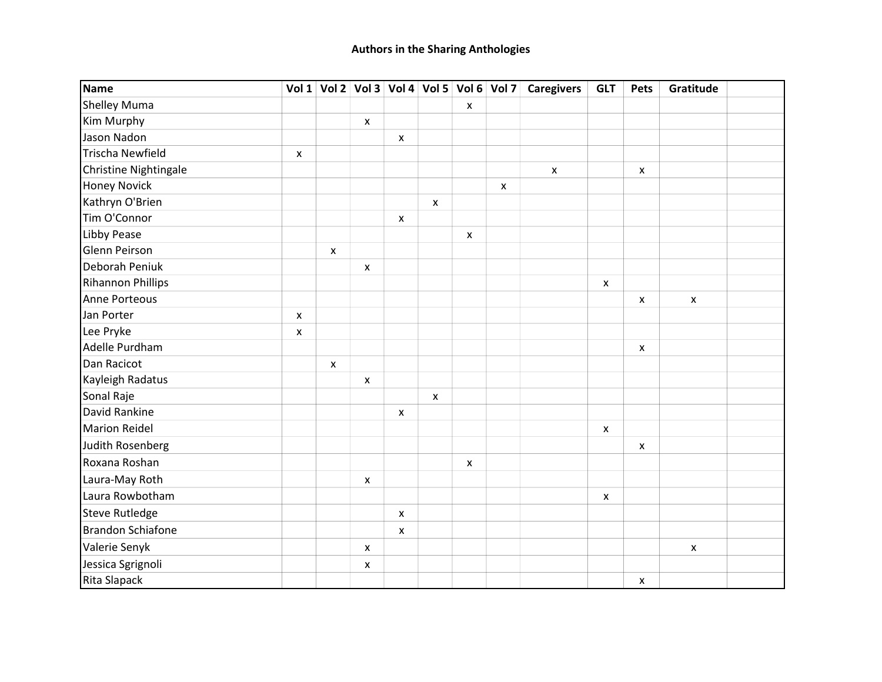| <b>Name</b>              | Vol 1   Vol 2   Vol 3   Vol 4   Vol 5   Vol 6   Vol 7 |                           |                    |              |                    |                    | <b>Caregivers</b>  | <b>GLT</b>         | Pets                      | Gratitude          |  |
|--------------------------|-------------------------------------------------------|---------------------------|--------------------|--------------|--------------------|--------------------|--------------------|--------------------|---------------------------|--------------------|--|
| <b>Shelley Muma</b>      |                                                       |                           |                    |              | X                  |                    |                    |                    |                           |                    |  |
| Kim Murphy               |                                                       | $\boldsymbol{\mathsf{x}}$ |                    |              |                    |                    |                    |                    |                           |                    |  |
| Jason Nadon              |                                                       |                           | $\pmb{\mathsf{x}}$ |              |                    |                    |                    |                    |                           |                    |  |
| <b>Trischa Newfield</b>  | X                                                     |                           |                    |              |                    |                    |                    |                    |                           |                    |  |
| Christine Nightingale    |                                                       |                           |                    |              |                    |                    | $\pmb{\mathsf{x}}$ |                    | $\pmb{\times}$            |                    |  |
| <b>Honey Novick</b>      |                                                       |                           |                    |              |                    | $\pmb{\mathsf{X}}$ |                    |                    |                           |                    |  |
| Kathryn O'Brien          |                                                       |                           |                    | $\mathsf{x}$ |                    |                    |                    |                    |                           |                    |  |
| Tim O'Connor             |                                                       |                           | $\pmb{\mathsf{x}}$ |              |                    |                    |                    |                    |                           |                    |  |
| Libby Pease              |                                                       |                           |                    |              | $\pmb{\mathsf{X}}$ |                    |                    |                    |                           |                    |  |
| <b>Glenn Peirson</b>     | $\pmb{\chi}$                                          |                           |                    |              |                    |                    |                    |                    |                           |                    |  |
| Deborah Peniuk           |                                                       | X                         |                    |              |                    |                    |                    |                    |                           |                    |  |
| <b>Rihannon Phillips</b> |                                                       |                           |                    |              |                    |                    |                    | $\pmb{\mathsf{x}}$ |                           |                    |  |
| <b>Anne Porteous</b>     |                                                       |                           |                    |              |                    |                    |                    |                    | $\pmb{\mathsf{X}}$        | $\pmb{\mathsf{X}}$ |  |
| Jan Porter               | X                                                     |                           |                    |              |                    |                    |                    |                    |                           |                    |  |
| Lee Pryke                | X                                                     |                           |                    |              |                    |                    |                    |                    |                           |                    |  |
| Adelle Purdham           |                                                       |                           |                    |              |                    |                    |                    |                    | $\boldsymbol{\mathsf{x}}$ |                    |  |
| Dan Racicot              | $\pmb{\mathsf{X}}$                                    |                           |                    |              |                    |                    |                    |                    |                           |                    |  |
| Kayleigh Radatus         |                                                       | $\pmb{\mathsf{X}}$        |                    |              |                    |                    |                    |                    |                           |                    |  |
| Sonal Raje               |                                                       |                           |                    | X            |                    |                    |                    |                    |                           |                    |  |
| David Rankine            |                                                       |                           | $\pmb{\mathsf{x}}$ |              |                    |                    |                    |                    |                           |                    |  |
| <b>Marion Reidel</b>     |                                                       |                           |                    |              |                    |                    |                    | $\pmb{\mathsf{X}}$ |                           |                    |  |
| Judith Rosenberg         |                                                       |                           |                    |              |                    |                    |                    |                    | $\pmb{\mathsf{X}}$        |                    |  |
| Roxana Roshan            |                                                       |                           |                    |              | $\pmb{\times}$     |                    |                    |                    |                           |                    |  |
| Laura-May Roth           |                                                       | $\mathsf{x}$              |                    |              |                    |                    |                    |                    |                           |                    |  |
| Laura Rowbotham          |                                                       |                           |                    |              |                    |                    |                    | $\pmb{\mathsf{X}}$ |                           |                    |  |
| <b>Steve Rutledge</b>    |                                                       |                           | $\pmb{\mathsf{x}}$ |              |                    |                    |                    |                    |                           |                    |  |
| <b>Brandon Schiafone</b> |                                                       |                           | $\pmb{\mathsf{x}}$ |              |                    |                    |                    |                    |                           |                    |  |
| Valerie Senyk            |                                                       | X                         |                    |              |                    |                    |                    |                    |                           | $\pmb{\mathsf{x}}$ |  |
| Jessica Sgrignoli        |                                                       | X                         |                    |              |                    |                    |                    |                    |                           |                    |  |
| <b>Rita Slapack</b>      |                                                       |                           |                    |              |                    |                    |                    |                    | $\boldsymbol{\mathsf{x}}$ |                    |  |